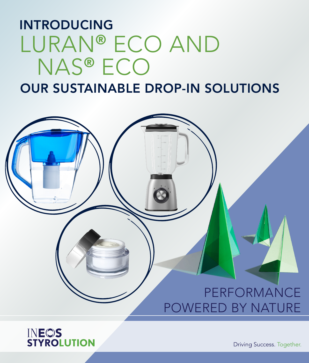# INTRODUCING LURAN® ECO AND NAS® ECO

## OUR SUSTAINABLE DROP-IN SOLUTIONS





Driving Success. Together.